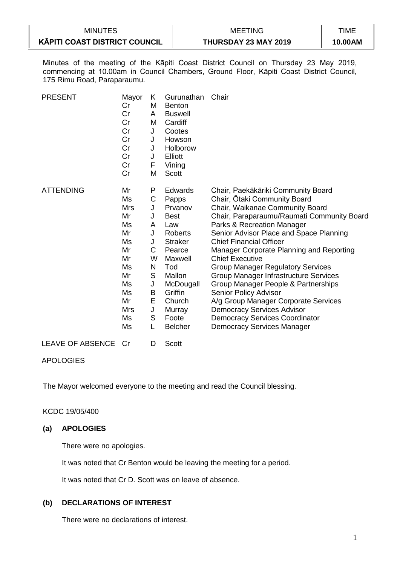| <b>MINUTES</b>                       | <b>MEETING</b>       | TIME    |
|--------------------------------------|----------------------|---------|
| <b>KĀPITI COAST DISTRICT COUNCIL</b> | THURSDAY 23 MAY 2019 | 10.00AM |

Minutes of the meeting of the Kāpiti Coast District Council on Thursday 23 May 2019, commencing at 10.00am in Council Chambers, Ground Floor, Kāpiti Coast District Council, 175 Rimu Road, Paraparaumu.

| <b>PRESENT</b>          | Mayor<br>Cr<br>Cr<br>Cr<br>Cr<br>Cr<br>Cr<br>Cr<br>Cr<br>Cr                                                        | Κ<br>M<br>A<br>M<br>J<br>J<br>J<br>J<br>F<br>M                               | Gurunathan<br><b>Benton</b><br><b>Buswell</b><br>Cardiff<br>Cootes<br>Howson<br>Holborow<br>Elliott<br>Vining<br>Scott                                                                      | Chair                                                                                                                                                                                                                                                                                                                                                                                                                                                                                                                                                                                                                                                |
|-------------------------|--------------------------------------------------------------------------------------------------------------------|------------------------------------------------------------------------------|---------------------------------------------------------------------------------------------------------------------------------------------------------------------------------------------|------------------------------------------------------------------------------------------------------------------------------------------------------------------------------------------------------------------------------------------------------------------------------------------------------------------------------------------------------------------------------------------------------------------------------------------------------------------------------------------------------------------------------------------------------------------------------------------------------------------------------------------------------|
| <b>ATTENDING</b>        | Mr<br>Ms<br><b>Mrs</b><br>Mr<br>Ms<br>Mr<br>Ms<br>Mr<br>Mr<br>Ms<br>Mr<br>Ms<br>Ms<br>Mr<br><b>Mrs</b><br>Ms<br>Ms | P<br>C<br>J<br>J<br>A<br>J<br>J<br>С<br>W<br>N<br>S<br>J<br>B<br>E<br>J<br>S | Edwards<br>Papps<br>Prvanov<br><b>Best</b><br>Law<br>Roberts<br><b>Straker</b><br>Pearce<br>Maxwell<br>Tod<br>Mallon<br>McDougall<br>Griffin<br>Church<br>Murray<br>Foote<br><b>Belcher</b> | Chair, Paekākāriki Community Board<br>Chair, Otaki Community Board<br>Chair, Waikanae Community Board<br>Chair, Paraparaumu/Raumati Community Board<br>Parks & Recreation Manager<br>Senior Advisor Place and Space Planning<br><b>Chief Financial Officer</b><br>Manager Corporate Planning and Reporting<br><b>Chief Executive</b><br><b>Group Manager Regulatory Services</b><br>Group Manager Infrastructure Services<br>Group Manager People & Partnerships<br>Senior Policy Advisor<br>A/g Group Manager Corporate Services<br><b>Democracy Services Advisor</b><br><b>Democracy Services Coordinator</b><br><b>Democracy Services Manager</b> |
| <b>LEAVE OF ABSENCE</b> | Cr                                                                                                                 | D                                                                            | <b>Scott</b>                                                                                                                                                                                |                                                                                                                                                                                                                                                                                                                                                                                                                                                                                                                                                                                                                                                      |

## APOLOGIES

The Mayor welcomed everyone to the meeting and read the Council blessing.

## KCDC 19/05/400

## **(a) APOLOGIES**

There were no apologies.

It was noted that Cr Benton would be leaving the meeting for a period.

It was noted that Cr D. Scott was on leave of absence.

# **(b) DECLARATIONS OF INTEREST**

There were no declarations of interest.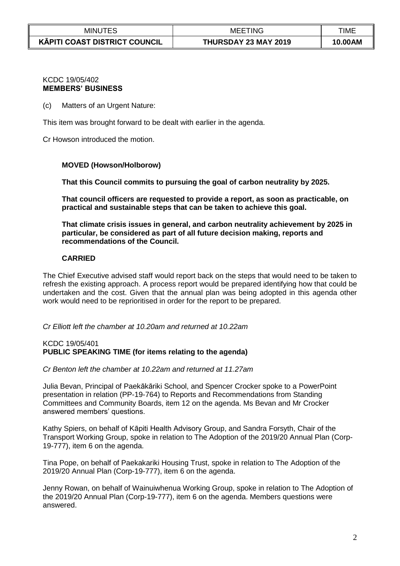| <b>MINUTES</b>                       | 'ING<br>MEE          | TIME    |
|--------------------------------------|----------------------|---------|
| <b>KĀPITI COAST DISTRICT COUNCIL</b> | THURSDAY 23 MAY 2019 | 10.00AM |

#### KCDC 19/05/402 **MEMBERS' BUSINESS**

(c) Matters of an Urgent Nature:

This item was brought forward to be dealt with earlier in the agenda.

Cr Howson introduced the motion.

#### **MOVED (Howson/Holborow)**

**That this Council commits to pursuing the goal of carbon neutrality by 2025.**

**That council officers are requested to provide a report, as soon as practicable, on practical and sustainable steps that can be taken to achieve this goal.**

**That climate crisis issues in general, and carbon neutrality achievement by 2025 in particular, be considered as part of all future decision making, reports and recommendations of the Council.**

## **CARRIED**

The Chief Executive advised staff would report back on the steps that would need to be taken to refresh the existing approach. A process report would be prepared identifying how that could be undertaken and the cost. Given that the annual plan was being adopted in this agenda other work would need to be reprioritised in order for the report to be prepared.

#### *Cr Elliott left the chamber at 10.20am and returned at 10.22am*

#### KCDC 19/05/401 **PUBLIC SPEAKING TIME (for items relating to the agenda)**

*Cr Benton left the chamber at 10.22am and returned at 11.27am*

Julia Bevan, Principal of Paekākāriki School, and Spencer Crocker spoke to a PowerPoint presentation in relation (PP-19-764) to Reports and Recommendations from Standing Committees and Community Boards, item 12 on the agenda. Ms Bevan and Mr Crocker answered members' questions.

Kathy Spiers, on behalf of Kāpiti Health Advisory Group, and Sandra Forsyth, Chair of the Transport Working Group, spoke in relation to The Adoption of the 2019/20 Annual Plan (Corp-19-777), item 6 on the agenda.

Tina Pope, on behalf of Paekakariki Housing Trust, spoke in relation to The Adoption of the 2019/20 Annual Plan (Corp-19-777), item 6 on the agenda.

Jenny Rowan, on behalf of Wainuiwhenua Working Group, spoke in relation to The Adoption of the 2019/20 Annual Plan (Corp-19-777), item 6 on the agenda. Members questions were answered.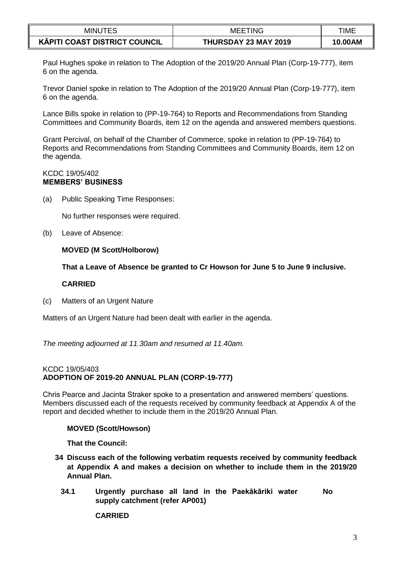| <b>MINUTES</b>                       | <b>MEETING</b>       | TIME    |
|--------------------------------------|----------------------|---------|
| <b>KĀPITI COAST DISTRICT COUNCIL</b> | THURSDAY 23 MAY 2019 | 10.00AM |

Paul Hughes spoke in relation to The Adoption of the 2019/20 Annual Plan (Corp-19-777), item 6 on the agenda.

Trevor Daniel spoke in relation to The Adoption of the 2019/20 Annual Plan (Corp-19-777), item 6 on the agenda.

Lance Bills spoke in relation to (PP-19-764) to Reports and Recommendations from Standing Committees and Community Boards, item 12 on the agenda and answered members questions.

Grant Percival, on behalf of the Chamber of Commerce, spoke in relation to (PP-19-764) to Reports and Recommendations from Standing Committees and Community Boards, item 12 on the agenda.

#### KCDC 19/05/402 **MEMBERS' BUSINESS**

(a) Public Speaking Time Responses:

No further responses were required.

(b) Leave of Absence:

## **MOVED (M Scott/Holborow)**

**That a Leave of Absence be granted to Cr Howson for June 5 to June 9 inclusive.**

## **CARRIED**

(c) Matters of an Urgent Nature

Matters of an Urgent Nature had been dealt with earlier in the agenda.

*The meeting adjourned at 11.30am and resumed at 11.40am.*

#### KCDC 19/05/403 **ADOPTION OF 2019-20 ANNUAL PLAN (CORP-19-777)**

Chris Pearce and Jacinta Straker spoke to a presentation and answered members' questions. Members discussed each of the requests received by community feedback at Appendix A of the report and decided whether to include them in the 2019/20 Annual Plan.

## **MOVED (Scott/Howson)**

## **That the Council:**

- **34 Discuss each of the following verbatim requests received by community feedback at Appendix A and makes a decision on whether to include them in the 2019/20 Annual Plan.**
	- **34.1 Urgently purchase all land in the Paekākāriki water supply catchment (refer AP001) No**

**CARRIED**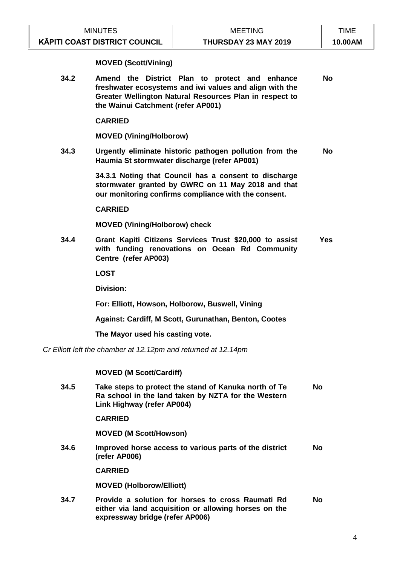| <b>MINUTES</b>                       | <b>MEETING</b>       | TIME    |
|--------------------------------------|----------------------|---------|
| <b>KĀPITI COAST DISTRICT COUNCIL</b> | THURSDAY 23 MAY 2019 | 10.00AM |

## **MOVED (Scott/Vining)**

**34.2 Amend the District Plan to protect and enhance freshwater ecosystems and iwi values and align with the Greater Wellington Natural Resources Plan in respect to the Wainui Catchment (refer AP001) No**

**CARRIED**

**MOVED (Vining/Holborow)**

**34.3 Urgently eliminate historic pathogen pollution from the Haumia St stormwater discharge (refer AP001) No**

> **34.3.1 Noting that Council has a consent to discharge stormwater granted by GWRC on 11 May 2018 and that our monitoring confirms compliance with the consent.**

#### **CARRIED**

**MOVED (Vining/Holborow) check**

**34.4 Grant Kapiti Citizens Services Trust \$20,000 to assist with funding renovations on Ocean Rd Community Centre (refer AP003) Yes**

**LOST**

**Division:**

**For: Elliott, Howson, Holborow, Buswell, Vining**

**Against: Cardiff, M Scott, Gurunathan, Benton, Cootes**

**The Mayor used his casting vote.**

*Cr Elliott left the chamber at 12.12pm and returned at 12.14pm*

#### **MOVED (M Scott/Cardiff)**

**34.5 Take steps to protect the stand of Kanuka north of Te Ra school in the land taken by NZTA for the Western Link Highway (refer AP004) No**

**CARRIED**

**MOVED (M Scott/Howson)**

**34.6 Improved horse access to various parts of the district (refer AP006) No**

**CARRIED**

**MOVED (Holborow/Elliott)**

**34.7 Provide a solution for horses to cross Raumati Rd either via land acquisition or allowing horses on the expressway bridge (refer AP006) No**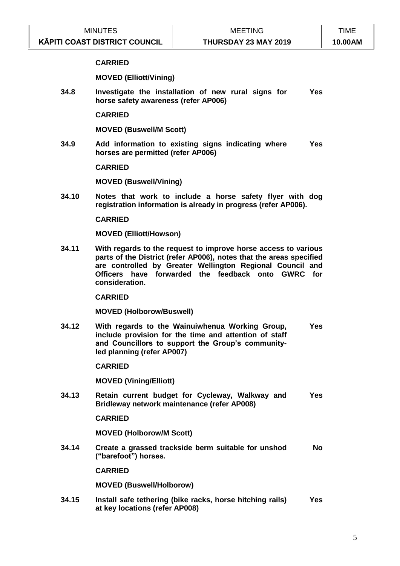| <b>MINUTES</b>                       | 'INC<br>MEE          | TIME    |
|--------------------------------------|----------------------|---------|
| <b>KĀPITI COAST DISTRICT COUNCIL</b> | THURSDAY 23 MAY 2019 | 10.00AM |

#### **CARRIED**

**MOVED (Elliott/Vining)**

**34.8 Investigate the installation of new rural signs for horse safety awareness (refer AP006) Yes** 

**CARRIED**

**MOVED (Buswell/M Scott)**

**34.9 Add information to existing signs indicating where horses are permitted (refer AP006) Yes** 

**CARRIED**

**MOVED (Buswell/Vining)**

**34.10 Notes that work to include a horse safety flyer with dog registration information is already in progress (refer AP006).**

#### **CARRIED**

**MOVED (Elliott/Howson)**

**34.11 With regards to the request to improve horse access to various parts of the District (refer AP006), notes that the areas specified are controlled by Greater Wellington Regional Council and Officers have forwarded the feedback onto GWRC for consideration.**

**CARRIED**

**MOVED (Holborow/Buswell)**

**34.12 With regards to the Wainuiwhenua Working Group, include provision for the time and attention of staff and Councillors to support the Group's communityled planning (refer AP007) Yes** 

**CARRIED**

**MOVED (Vining/Elliott)**

**34.13 Retain current budget for Cycleway, Walkway and Bridleway network maintenance (refer AP008) Yes** 

**CARRIED**

**MOVED (Holborow/M Scott)**

**34.14 Create a grassed trackside berm suitable for unshod ("barefoot") horses. No**

**CARRIED**

**MOVED (Buswell/Holborow)**

**34.15 Install safe tethering (bike racks, horse hitching rails) at key locations (refer AP008) Yes**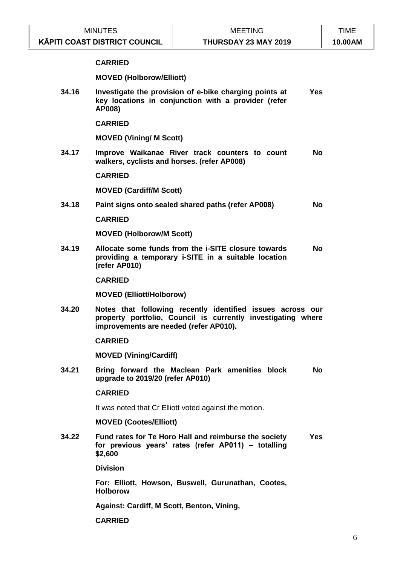|       | <b>MINUTES</b>                              | <b>MEETING</b>                                                                                                              | <b>TIME</b> |
|-------|---------------------------------------------|-----------------------------------------------------------------------------------------------------------------------------|-------------|
|       | <b>KĀPITI COAST DISTRICT COUNCIL</b>        | THURSDAY 23 MAY 2019                                                                                                        | 10.00AM     |
|       | <b>CARRIED</b>                              |                                                                                                                             |             |
|       | <b>MOVED (Holborow/Elliott)</b>             |                                                                                                                             |             |
| 34.16 | AP008)                                      | Investigate the provision of e-bike charging points at<br><b>Yes</b><br>key locations in conjunction with a provider (refer |             |
|       | <b>CARRIED</b>                              |                                                                                                                             |             |
|       | <b>MOVED (Vining/ M Scott)</b>              |                                                                                                                             |             |
| 34.17 | walkers, cyclists and horses. (refer AP008) | Improve Waikanae River track counters to count<br><b>No</b>                                                                 |             |
|       | <b>CARRIED</b>                              |                                                                                                                             |             |
|       | <b>MOVED (Cardiff/M Scott)</b>              |                                                                                                                             |             |
| 34.18 |                                             | Paint signs onto sealed shared paths (refer AP008)<br><b>No</b>                                                             |             |
|       | <b>CARRIED</b>                              |                                                                                                                             |             |
|       | <b>MOVED (Holborow/M Scott)</b>             |                                                                                                                             |             |
| 34.19 | (refer AP010)                               | Allocate some funds from the i-SITE closure towards<br><b>No</b><br>providing a temporary i-SITE in a suitable location     |             |
|       | <b>CARRIED</b>                              |                                                                                                                             |             |
|       | <b>MOVED (Elliott/Holborow)</b>             |                                                                                                                             |             |
| 34.20 | improvements are needed (refer AP010).      | Notes that following recently identified issues across our<br>property portfolio, Council is currently investigating where  |             |
|       | <b>CARRIED</b>                              |                                                                                                                             |             |
|       | <b>MOVED (Vining/Cardiff)</b>               |                                                                                                                             |             |
| 34.21 | upgrade to 2019/20 (refer AP010)            | Bring forward the Maclean Park amenities block<br><b>No</b>                                                                 |             |
|       | <b>CARRIED</b>                              |                                                                                                                             |             |
|       |                                             | It was noted that Cr Elliott voted against the motion.                                                                      |             |
|       | <b>MOVED (Cootes/Elliott)</b>               |                                                                                                                             |             |
| 34.22 | \$2,600                                     | Fund rates for Te Horo Hall and reimburse the society<br><b>Yes</b><br>for previous years' rates (refer AP011) - totalling  |             |
|       | <b>Division</b>                             |                                                                                                                             |             |
|       | <b>Holborow</b>                             | For: Elliott, Howson, Buswell, Gurunathan, Cootes,                                                                          |             |
|       | Against: Cardiff, M Scott, Benton, Vining,  |                                                                                                                             |             |
|       | <b>CARRIED</b>                              |                                                                                                                             |             |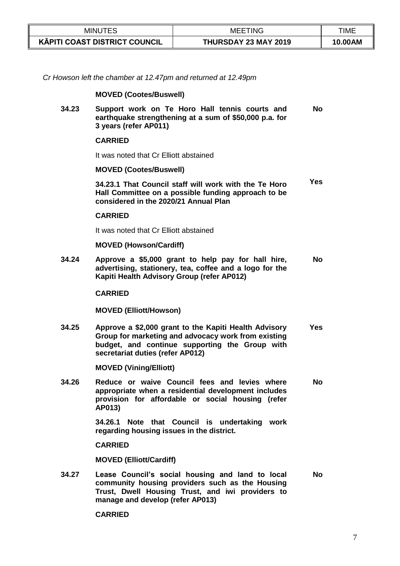| <b>MINUTES</b>                       | <b>MEETING</b>       | TIME    |
|--------------------------------------|----------------------|---------|
| <b>KÄPITI COAST DISTRICT COUNCIL</b> | THURSDAY 23 MAY 2019 | 10.00AM |

*Cr Howson left the chamber at 12.47pm and returned at 12.49pm*

#### **MOVED (Cootes/Buswell)**

**34.23 Support work on Te Horo Hall tennis courts and earthquake strengthening at a sum of \$50,000 p.a. for 3 years (refer AP011) No**

#### **CARRIED**

It was noted that Cr Elliott abstained

#### **MOVED (Cootes/Buswell)**

**34.23.1 That Council staff will work with the Te Horo Hall Committee on a possible funding approach to be considered in the 2020/21 Annual Plan Yes**

#### **CARRIED**

It was noted that Cr Elliott abstained

#### **MOVED (Howson/Cardiff)**

**34.24 Approve a \$5,000 grant to help pay for hall hire, advertising, stationery, tea, coffee and a logo for the Kapiti Health Advisory Group (refer AP012) No**

#### **CARRIED**

**MOVED (Elliott/Howson)**

**34.25 Approve a \$2,000 grant to the Kapiti Health Advisory Group for marketing and advocacy work from existing budget, and continue supporting the Group with secretariat duties (refer AP012) Yes** 

**MOVED (Vining/Elliott)**

**34.26 Reduce or waive Council fees and levies where appropriate when a residential development includes provision for affordable or social housing (refer AP013) No**

> **34.26.1 Note that Council is undertaking work regarding housing issues in the district.**

#### **CARRIED**

**MOVED (Elliott/Cardiff)** 

**34.27 Lease Council's social housing and land to local community housing providers such as the Housing Trust, Dwell Housing Trust, and iwi providers to manage and develop (refer AP013) No**

#### **CARRIED**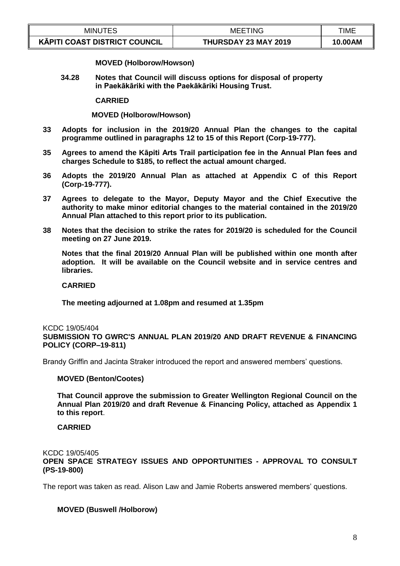| MINU<br>JTES                                                     | <b>MEETING</b>       | TIME    |
|------------------------------------------------------------------|----------------------|---------|
| $\overline{\phantom{a}}$<br><b>KÄPITI COAST DISTRICT COUNCIL</b> | THURSDAY 23 MAY 2019 | 10.00AM |

**MOVED (Holborow/Howson)**

**34.28 Notes that Council will discuss options for disposal of property in Paekākāriki with the Paekākāriki Housing Trust.**

**CARRIED**

**MOVED (Holborow/Howson)** 

- **33 Adopts for inclusion in the 2019/20 Annual Plan the changes to the capital programme outlined in paragraphs 12 to 15 of this Report (Corp-19-777).**
- **35 Agrees to amend the Kāpiti Arts Trail participation fee in the Annual Plan fees and charges Schedule to \$185, to reflect the actual amount charged.**
- **36 Adopts the 2019/20 Annual Plan as attached at Appendix C of this Report (Corp-19-777).**
- **37 Agrees to delegate to the Mayor, Deputy Mayor and the Chief Executive the authority to make minor editorial changes to the material contained in the 2019/20 Annual Plan attached to this report prior to its publication.**
- **38 Notes that the decision to strike the rates for 2019/20 is scheduled for the Council meeting on 27 June 2019.**

**Notes that the final 2019/20 Annual Plan will be published within one month after adoption. It will be available on the Council website and in service centres and libraries.**

#### **CARRIED**

**The meeting adjourned at 1.08pm and resumed at 1.35pm**

# KCDC 19/05/404

**SUBMISSION TO GWRC'S ANNUAL PLAN 2019/20 AND DRAFT REVENUE & FINANCING POLICY (CORP–19-811)**

Brandy Griffin and Jacinta Straker introduced the report and answered members' questions.

#### **MOVED (Benton/Cootes)**

**That Council approve the submission to Greater Wellington Regional Council on the Annual Plan 2019/20 and draft Revenue & Financing Policy, attached as Appendix 1 to this report**.

## **CARRIED**

KCDC 19/05/405

**OPEN SPACE STRATEGY ISSUES AND OPPORTUNITIES - APPROVAL TO CONSULT (PS-19-800)**

The report was taken as read. Alison Law and Jamie Roberts answered members' questions.

## **MOVED (Buswell /Holborow)**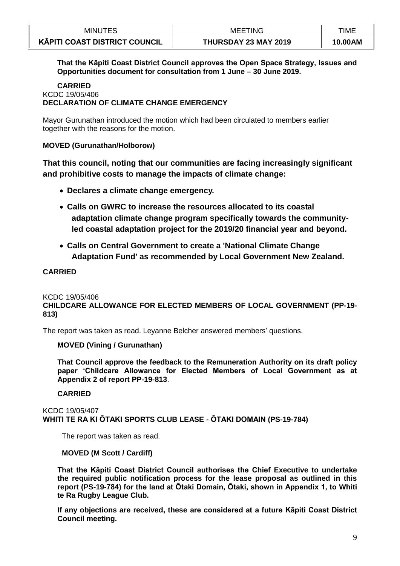| <b>MINUTES</b>                       | <b>MEETING</b>       | TIME    |
|--------------------------------------|----------------------|---------|
| <b>KÄPITI COAST DISTRICT COUNCIL</b> | THURSDAY 23 MAY 2019 | 10.00AM |

**That the Kāpiti Coast District Council approves the Open Space Strategy, Issues and Opportunities document for consultation from 1 June – 30 June 2019.** 

#### **CARRIED** KCDC 19/05/406 **DECLARATION OF CLIMATE CHANGE EMERGENCY**

Mayor Gurunathan introduced the motion which had been circulated to members earlier together with the reasons for the motion.

# **MOVED (Gurunathan/Holborow)**

**That this council, noting that our communities are facing increasingly significant and prohibitive costs to manage the impacts of climate change:**

- **Declares a climate change emergency.**
- **Calls on GWRC to increase the resources allocated to its coastal adaptation climate change program specifically towards the communityled coastal adaptation project for the 2019/20 financial year and beyond.**
- **Calls on Central Government to create a 'National Climate Change Adaptation Fund' as recommended by Local Government New Zealand.**

# **CARRIED**

KCDC 19/05/406

**CHILDCARE ALLOWANCE FOR ELECTED MEMBERS OF LOCAL GOVERNMENT (PP-19- 813)**

The report was taken as read. Leyanne Belcher answered members' questions.

## **MOVED (Vining / Gurunathan)**

**That Council approve the feedback to the Remuneration Authority on its draft policy paper 'Childcare Allowance for Elected Members of Local Government as at Appendix 2 of report PP-19-813**.

## **CARRIED**

KCDC 19/05/407 **WHITI TE RA KI ŌTAKI SPORTS CLUB LEASE - ŌTAKI DOMAIN (PS-19-784)**

The report was taken as read.

## **MOVED (M Scott / Cardiff)**

**That the Kāpiti Coast District Council authorises the Chief Executive to undertake the required public notification process for the lease proposal as outlined in this report (PS-19-784) for the land at Ōtaki Domain, Ōtaki, shown in Appendix 1, to Whiti te Ra Rugby League Club.**

**If any objections are received, these are considered at a future Kāpiti Coast District Council meeting.**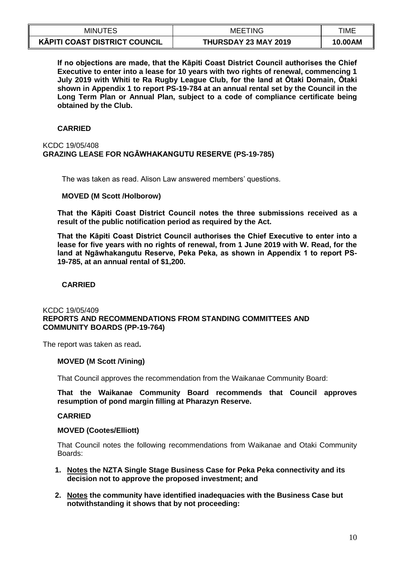| <b>MINUTES</b>                       | <b>MEETING</b>       | TIME    |
|--------------------------------------|----------------------|---------|
| <b>KĀPITI COAST DISTRICT COUNCIL</b> | THURSDAY 23 MAY 2019 | 10.00AM |

**If no objections are made, that the Kāpiti Coast District Council authorises the Chief Executive to enter into a lease for 10 years with two rights of renewal, commencing 1 July 2019 with Whiti te Ra Rugby League Club, for the land at Ōtaki Domain, Ōtaki shown in Appendix 1 to report PS-19-784 at an annual rental set by the Council in the Long Term Plan or Annual Plan, subject to a code of compliance certificate being obtained by the Club.**

# **CARRIED**

#### KCDC 19/05/408 **GRAZING LEASE FOR NGĀWHAKANGUTU RESERVE (PS-19-785)**

The was taken as read. Alison Law answered members' questions.

#### **MOVED (M Scott /Holborow)**

**That the Kāpiti Coast District Council notes the three submissions received as a result of the public notification period as required by the Act.**

**That the Kāpiti Coast District Council authorises the Chief Executive to enter into a lease for five years with no rights of renewal, from 1 June 2019 with W. Read, for the land at Ngāwhakangutu Reserve, Peka Peka, as shown in Appendix 1 to report PS-19-785, at an annual rental of \$1,200.**

## **CARRIED**

#### KCDC 19/05/409 **REPORTS AND RECOMMENDATIONS FROM STANDING COMMITTEES AND COMMUNITY BOARDS (PP-19-764)**

The report was taken as read**.**

## **MOVED (M Scott /Vining)**

That Council approves the recommendation from the Waikanae Community Board:

**That the Waikanae Community Board recommends that Council approves resumption of pond margin filling at Pharazyn Reserve.**

#### **CARRIED**

#### **MOVED (Cootes/Elliott)**

That Council notes the following recommendations from Waikanae and Otaki Community Boards:

- **1. Notes the NZTA Single Stage Business Case for Peka Peka connectivity and its decision not to approve the proposed investment; and**
- **2. Notes the community have identified inadequacies with the Business Case but notwithstanding it shows that by not proceeding:**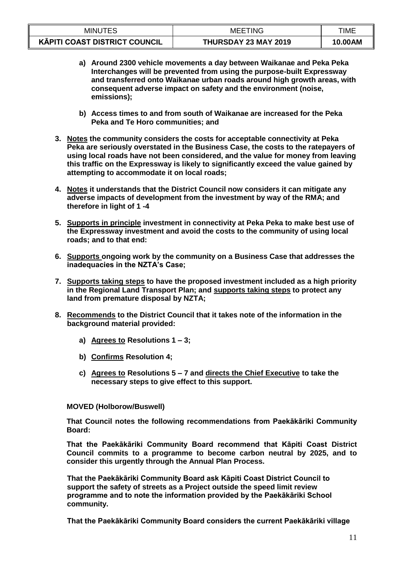| <b>MINUTES</b>                       | <b>MEETING</b>       | TIME    |
|--------------------------------------|----------------------|---------|
| <b>KĀPITI COAST DISTRICT COUNCIL</b> | THURSDAY 23 MAY 2019 | 10.00AM |

- **a) Around 2300 vehicle movements a day between Waikanae and Peka Peka Interchanges will be prevented from using the purpose-built Expressway and transferred onto Waikanae urban roads around high growth areas, with consequent adverse impact on safety and the environment (noise, emissions);**
- **b) Access times to and from south of Waikanae are increased for the Peka Peka and Te Horo communities; and**
- **3. Notes the community considers the costs for acceptable connectivity at Peka Peka are seriously overstated in the Business Case, the costs to the ratepayers of using local roads have not been considered, and the value for money from leaving this traffic on the Expressway is likely to significantly exceed the value gained by attempting to accommodate it on local roads;**
- **4. Notes it understands that the District Council now considers it can mitigate any adverse impacts of development from the investment by way of the RMA; and therefore in light of 1 -4**
- **5. Supports in principle investment in connectivity at Peka Peka to make best use of the Expressway investment and avoid the costs to the community of using local roads; and to that end:**
- **6. Supports ongoing work by the community on a Business Case that addresses the inadequacies in the NZTA's Case;**
- **7. Supports taking steps to have the proposed investment included as a high priority in the Regional Land Transport Plan; and supports taking steps to protect any land from premature disposal by NZTA;**
- **8. Recommends to the District Council that it takes note of the information in the background material provided:**
	- **a) Agrees to Resolutions 1 – 3;**
	- **b) Confirms Resolution 4;**
	- **c) Agrees to Resolutions 5 – 7 and directs the Chief Executive to take the necessary steps to give effect to this support.**

## **MOVED (Holborow/Buswell)**

**That Council notes the following recommendations from Paekākāriki Community Board:**

**That the Paekākāriki Community Board recommend that Kāpiti Coast District Council commits to a programme to become carbon neutral by 2025, and to consider this urgently through the Annual Plan Process.**

**That the Paekākāriki Community Board ask Kāpiti Coast District Council to support the safety of streets as a Project outside the speed limit review programme and to note the information provided by the Paekākāriki School community.**

**That the Paekākāriki Community Board considers the current Paekākāriki village**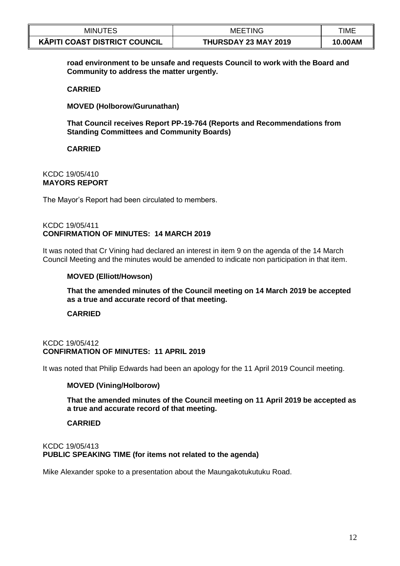| <b>MINUTES</b>                       | <b>MEETING</b>       | TIME    |
|--------------------------------------|----------------------|---------|
| <b>KĀPITI COAST DISTRICT COUNCIL</b> | THURSDAY 23 MAY 2019 | 10.00AM |

**road environment to be unsafe and requests Council to work with the Board and Community to address the matter urgently.** 

#### **CARRIED**

**MOVED (Holborow/Gurunathan)**

**That Council receives Report PP-19-764 (Reports and Recommendations from Standing Committees and Community Boards)**

**CARRIED**

#### KCDC 19/05/410 **MAYORS REPORT**

The Mayor's Report had been circulated to members.

#### KCDC 19/05/411 **CONFIRMATION OF MINUTES: 14 MARCH 2019**

It was noted that Cr Vining had declared an interest in item 9 on the agenda of the 14 March Council Meeting and the minutes would be amended to indicate non participation in that item.

#### **MOVED (Elliott/Howson)**

**That the amended minutes of the Council meeting on 14 March 2019 be accepted as a true and accurate record of that meeting.**

#### **CARRIED**

#### KCDC 19/05/412 **CONFIRMATION OF MINUTES: 11 APRIL 2019**

It was noted that Philip Edwards had been an apology for the 11 April 2019 Council meeting.

## **MOVED (Vining/Holborow)**

**That the amended minutes of the Council meeting on 11 April 2019 be accepted as a true and accurate record of that meeting.**

## **CARRIED**

#### KCDC 19/05/413 **PUBLIC SPEAKING TIME (for items not related to the agenda)**

Mike Alexander spoke to a presentation about the Maungakotukutuku Road.